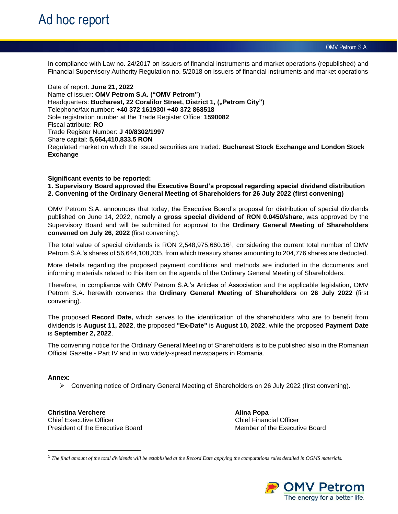OMV Petrom S.A.

In compliance with Law no. 24/2017 on issuers of financial instruments and market operations (republished) and Financial Supervisory Authority Regulation no. 5/2018 on issuers of financial instruments and market operations

Date of report: **June 21, 2022** Name of issuer: **OMV Petrom S.A. ("OMV Petrom")** Headquarters: Bucharest, 22 Coralilor Street, District 1, ("Petrom City") Telephone/fax number: **+40 372 161930/ +40 372 868518**  Sole registration number at the Trade Register Office: **1590082** Fiscal attribute: **RO** Trade Register Number: **J 40/8302/1997** Share capital: **5,664,410,833.5 RON** Regulated market on which the issued securities are traded: **Bucharest Stock Exchange and London Stock Exchange**

## **Significant events to be reported:**

**1. Supervisory Board approved the Executive Board's proposal regarding special dividend distribution 2. Convening of the Ordinary General Meeting of Shareholders for 26 July 2022 (first convening)**

OMV Petrom S.A. announces that today, the Executive Board's proposal for distribution of special dividends published on June 14, 2022, namely a **gross special dividend of RON 0.0450/share**, was approved by the Supervisory Board and will be submitted for approval to the **Ordinary General Meeting of Shareholders convened on July 26, 2022** (first convening).

The total value of special dividends is RON 2,548,975,660.16<sup>1</sup> , considering the current total number of OMV Petrom S.A.'s shares of 56,644,108,335, from which treasury shares amounting to 204,776 shares are deducted.

More details regarding the proposed payment conditions and methods are included in the documents and informing materials related to this item on the agenda of the Ordinary General Meeting of Shareholders.

Therefore, in compliance with OMV Petrom S.A.'s Articles of Association and the applicable legislation, OMV Petrom S.A. herewith convenes the **Ordinary General Meeting of Shareholders** on **26 July 2022** (first convening).

The proposed **Record Date,** which serves to the identification of the shareholders who are to benefit from dividends is **August 11, 2022**, the proposed **"Ex-Date"** is **August 10, 2022**, while the proposed **Payment Date**  is **September 2, 2022**.

The convening notice for the Ordinary General Meeting of Shareholders is to be published also in the Romanian Official Gazette - Part IV and in two widely-spread newspapers in Romania.

### **Annex**:

➢ Convening notice of Ordinary General Meeting of Shareholders on 26 July 2022 (first convening).

**Christina Verchere Alina Popa** Chief Executive Officer Chief Financial Officer President of the Executive Board Member of the Executive Board

1 *The final amount of the total dividends will be established at the Record Date applying the computations rules detailed in OGMS materials.*

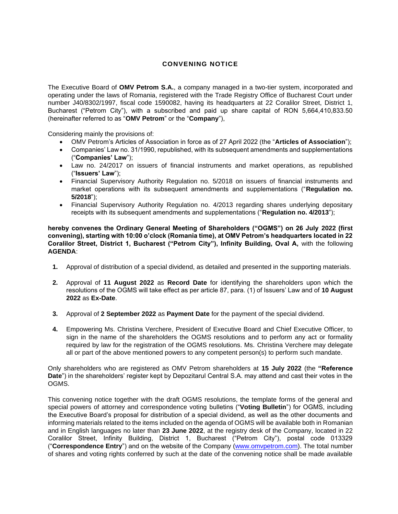# **CONVENING NOTICE**

The Executive Board of **OMV Petrom S.A.**, a company managed in a two-tier system, incorporated and operating under the laws of Romania, registered with the Trade Registry Office of Bucharest Court under number J40/8302/1997, fiscal code 1590082, having its headquarters at 22 Coralilor Street, District 1, Bucharest ("Petrom City"), with a subscribed and paid up share capital of RON 5,664,410,833.50 (hereinafter referred to as "**OMV Petrom**" or the "**Company**"),

Considering mainly the provisions of:

- OMV Petrom's Articles of Association in force as of 27 April 2022 (the "**Articles of Association**");
- Companies' Law no. 31/1990, republished, with its subsequent amendments and supplementations ("**Companies' Law**");
- Law no. 24/2017 on issuers of financial instruments and market operations, as republished ("**Issuers' Law**");
- Financial Supervisory Authority Regulation no. 5/2018 on issuers of financial instruments and market operations with its subsequent amendments and supplementations ("**Regulation no. 5/2018**");
- Financial Supervisory Authority Regulation no. 4/2013 regarding shares underlying depositary receipts with its subsequent amendments and supplementations ("**Regulation no. 4/2013**");

**hereby convenes the Ordinary General Meeting of Shareholders ("OGMS") on 26 July 2022 (first convening), starting with 10:00 o'clock (Romania time), at OMV Petrom's headquarters located in 22 Coralilor Street, District 1, Bucharest ("Petrom City"), Infinity Building, Oval A,** with the following **AGENDA**:

- **1.** Approval of distribution of a special dividend, as detailed and presented in the supporting materials.
- **2.** Approval of **11 August 2022** as **Record Date** for identifying the shareholders upon which the resolutions of the OGMS will take effect as per article 87, para. (1) of Issuers' Law and of **10 August 2022** as **Ex-Date**.
- **3.** Approval of **2 September 2022** as **Payment Date** for the payment of the special dividend.
- **4.** Empowering Ms. Christina Verchere, President of Executive Board and Chief Executive Officer, to sign in the name of the shareholders the OGMS resolutions and to perform any act or formality required by law for the registration of the OGMS resolutions. Ms. Christina Verchere may delegate all or part of the above mentioned powers to any competent person(s) to perform such mandate.

Only shareholders who are registered as OMV Petrom shareholders at **15 July 2022** (the **"Reference Date**") in the shareholders' register kept by Depozitarul Central S.A. may attend and cast their votes in the OGMS.

This convening notice together with the draft OGMS resolutions, the template forms of the general and special powers of attorney and correspondence voting bulletins ("**Voting Bulletin**") for OGMS, including the Executive Board's proposal for distribution of a special dividend, as well as the other documents and informing materials related to the items included on the agenda of OGMS will be available both in Romanian and in English languages no later than **23 June 2022**, at the registry desk of the Company, located in 22 Coralilor Street, Infinity Building, District 1, Bucharest ("Petrom City"), postal code 013329 ("**Correspondence Entry**") and on the website of the Company [\(www.omvpetrom.com\)](http://www.omvpetrom.com/). The total number of shares and voting rights conferred by such at the date of the convening notice shall be made available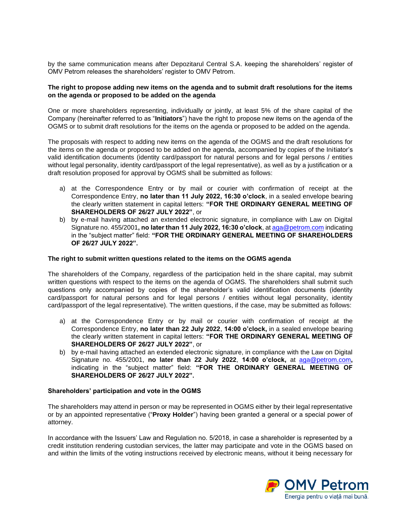by the same communication means after Depozitarul Central S.A. keeping the shareholders' register of OMV Petrom releases the shareholders' register to OMV Petrom.

## **The right to propose adding new items on the agenda and to submit draft resolutions for the items on the agenda or proposed to be added on the agenda**

One or more shareholders representing, individually or jointly, at least 5% of the share capital of the Company (hereinafter referred to as "**Initiators**") have the right to propose new items on the agenda of the OGMS or to submit draft resolutions for the items on the agenda or proposed to be added on the agenda.

The proposals with respect to adding new items on the agenda of the OGMS and the draft resolutions for the items on the agenda or proposed to be added on the agenda, accompanied by copies of the Initiator's valid identification documents (identity card/passport for natural persons and for legal persons / entities without legal personality, identity card/passport of the legal representative), as well as by a justification or a draft resolution proposed for approval by OGMS shall be submitted as follows:

- a) at the Correspondence Entry or by mail or courier with confirmation of receipt at the Correspondence Entry, **no later than 11 July 2022, 16:30 o'clock**, in a sealed envelope bearing the clearly written statement in capital letters: **"FOR THE ORDINARY GENERAL MEETING OF SHAREHOLDERS OF 26/27 JULY 2022"**, or
- b) by e-mail having attached an extended electronic signature, in compliance with Law on Digital Signature no. 455/2001**, no later than 11 July 2022, 16:30 o'clock**, at [aga@petrom.com](mailto:aga@petrom.com) indicating in the "subject matter" field: **"FOR THE ORDINARY GENERAL MEETING OF SHAREHOLDERS OF 26/27 JULY 2022".**

### **The right to submit written questions related to the items on the OGMS agenda**

The shareholders of the Company, regardless of the participation held in the share capital, may submit written questions with respect to the items on the agenda of OGMS. The shareholders shall submit such questions only accompanied by copies of the shareholder's valid identification documents (identity card/passport for natural persons and for legal persons / entities without legal personality, identity card/passport of the legal representative). The written questions, if the case, may be submitted as follows:

- a) at the Correspondence Entry or by mail or courier with confirmation of receipt at the Correspondence Entry, **no later than 22 July 2022**, **14:00 o'clock,** in a sealed envelope bearing the clearly written statement in capital letters: **"FOR THE ORDINARY GENERAL MEETING OF SHAREHOLDERS OF 26/27 JULY 2022"**, or
- b) by e-mail having attached an extended electronic signature, in compliance with the Law on Digital Signature no. 455/2001, **no later than 22 July 2022**, **14:00 o'clock,** at [aga@petrom.com](mailto:aga@petrom.com)**,**  indicating in the "subject matter" field: **"FOR THE ORDINARY GENERAL MEETING OF SHAREHOLDERS OF 26/27 JULY 2022".**

### **Shareholders' participation and vote in the OGMS**

The shareholders may attend in person or may be represented in OGMS either by their legal representative or by an appointed representative ("**Proxy Holder**") having been granted a general or a special power of attorney.

In accordance with the Issuers' Law and Regulation no. 5/2018, in case a shareholder is represented by a credit institution rendering custodian services, the latter may participate and vote in the OGMS based on and within the limits of the voting instructions received by electronic means, without it being necessary for

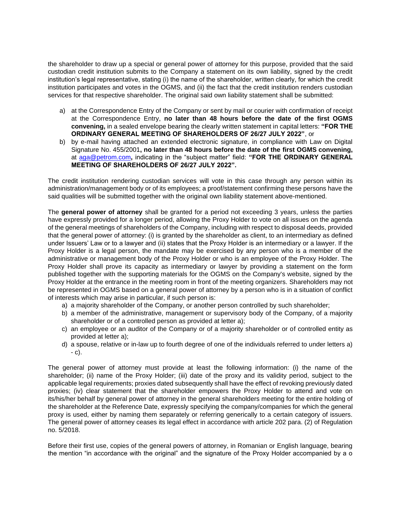the shareholder to draw up a special or general power of attorney for this purpose, provided that the said custodian credit institution submits to the Company a statement on its own liability, signed by the credit institution's legal representative, stating (i) the name of the shareholder, written clearly, for which the credit institution participates and votes in the OGMS, and (ii) the fact that the credit institution renders custodian services for that respective shareholder. The original said own liability statement shall be submitted:

- a) at the Correspondence Entry of the Company or sent by mail or courier with confirmation of receipt at the Correspondence Entry, **no later than 48 hours before the date of the first OGMS convening,** in a sealed envelope bearing the clearly written statement in capital letters: **"FOR THE ORDINARY GENERAL MEETING OF SHAREHOLDERS OF 26/27 JULY 2022"**, or
- b) by e-mail having attached an extended electronic signature, in compliance with Law on Digital Signature No. 455/2001**, no later than 48 hours before the date of the first OGMS convening,**  at [aga@petrom.com](mailto:aga@petrom.com)**,** indicating in the "subject matter" field: **"FOR THE ORDINARY GENERAL MEETING OF SHAREHOLDERS OF 26/27 JULY 2022".**

The credit institution rendering custodian services will vote in this case through any person within its administration/management body or of its employees; a proof/statement confirming these persons have the said qualities will be submitted together with the original own liability statement above-mentioned.

The **general power of attorney** shall be granted for a period not exceeding 3 years, unless the parties have expressly provided for a longer period, allowing the Proxy Holder to vote on all issues on the agenda of the general meetings of shareholders of the Company, including with respect to disposal deeds, provided that the general power of attorney: (i) is granted by the shareholder as client, to an intermediary as defined under Issuers' Law or to a lawyer and (ii) states that the Proxy Holder is an intermediary or a lawyer. If the Proxy Holder is a legal person, the mandate may be exercised by any person who is a member of the administrative or management body of the Proxy Holder or who is an employee of the Proxy Holder. The Proxy Holder shall prove its capacity as intermediary or lawyer by providing a statement on the form published together with the supporting materials for the OGMS on the Company's website, signed by the Proxy Holder at the entrance in the meeting room in front of the meeting organizers. Shareholders may not be represented in OGMS based on a general power of attorney by a person who is in a situation of conflict of interests which may arise in particular, if such person is:

- a) a majority shareholder of the Company, or another person controlled by such shareholder;
- b) a member of the administrative, management or supervisory body of the Company, of a majority shareholder or of a controlled person as provided at letter a);
- c) an employee or an auditor of the Company or of a majority shareholder or of controlled entity as provided at letter a);
- d) a spouse, relative or in-law up to fourth degree of one of the individuals referred to under letters a) - c).

The general power of attorney must provide at least the following information: (i) the name of the shareholder; (ii) name of the Proxy Holder; (iii) date of the proxy and its validity period, subject to the applicable legal requirements; proxies dated subsequently shall have the effect of revoking previously dated proxies; (iv) clear statement that the shareholder empowers the Proxy Holder to attend and vote on its/his/her behalf by general power of attorney in the general shareholders meeting for the entire holding of the shareholder at the Reference Date, expressly specifying the company/companies for which the general proxy is used, either by naming them separately or referring generically to a certain category of issuers. The general power of attorney ceases its legal effect in accordance with article 202 para. (2) of Regulation no. 5/2018.

Before their first use, copies of the general powers of attorney, in Romanian or English language, bearing the mention "in accordance with the original" and the signature of the Proxy Holder accompanied by a o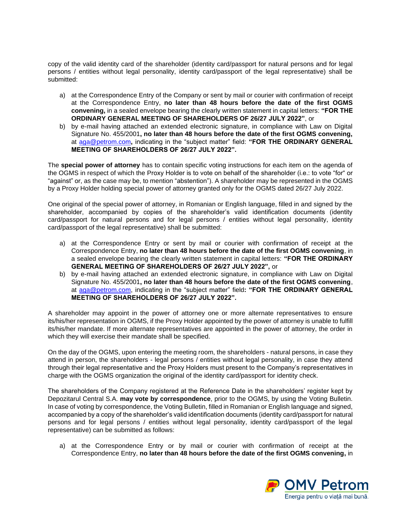copy of the valid identity card of the shareholder (identity card/passport for natural persons and for legal persons / entities without legal personality, identity card/passport of the legal representative) shall be submitted:

- a) at the Correspondence Entry of the Company or sent by mail or courier with confirmation of receipt at the Correspondence Entry, **no later than 48 hours before the date of the first OGMS convening,** in a sealed envelope bearing the clearly written statement in capital letters: **"FOR THE ORDINARY GENERAL MEETING OF SHAREHOLDERS OF 26/27 JULY 2022"**, or
- b) by e-mail having attached an extended electronic signature, in compliance with Law on Digital Signature No. 455/2001**, no later than 48 hours before the date of the first OGMS convening,**  at [aga@petrom.com](mailto:aga@petrom.com)**,** indicating in the "subject matter" field: **"FOR THE ORDINARY GENERAL MEETING OF SHAREHOLDERS OF 26/27 JULY 2022".**

The **special power of attorney** has to contain specific voting instructions for each item on the agenda of the OGMS in respect of which the Proxy Holder is to vote on behalf of the shareholder (i.e.: to vote "for" or "against" or, as the case may be, to mention "abstention"). A shareholder may be represented in the OGMS by a Proxy Holder holding special power of attorney granted only for the OGMS dated 26/27 July 2022.

One original of the special power of attorney, in Romanian or English language, filled in and signed by the shareholder, accompanied by copies of the shareholder's valid identification documents (identity card/passport for natural persons and for legal persons / entities without legal personality, identity card/passport of the legal representative) shall be submitted:

- a) at the Correspondence Entry or sent by mail or courier with confirmation of receipt at the Correspondence Entry, **no later than 48 hours before the date of the first OGMS convening**, in a sealed envelope bearing the clearly written statement in capital letters: **"FOR THE ORDINARY GENERAL MEETING OF SHAREHOLDERS OF 26/27 JULY 2022",** or
- b) by e-mail having attached an extended electronic signature, in compliance with Law on Digital Signature No. 455/2001**, no later than 48 hours before the date of the first OGMS convening**, at [aga@petrom.com,](mailto:aga@petrom.com) indicating in the "subject matter" field**: "FOR THE ORDINARY GENERAL MEETING OF SHAREHOLDERS OF 26/27 JULY 2022".**

A shareholder may appoint in the power of attorney one or more alternate representatives to ensure its/his/her representation in OGMS, if the Proxy Holder appointed by the power of attorney is unable to fulfill its/his/her mandate. If more alternate representatives are appointed in the power of attorney, the order in which they will exercise their mandate shall be specified.

On the day of the OGMS, upon entering the meeting room, the shareholders - natural persons, in case they attend in person, the shareholders - legal persons / entities without legal personality, in case they attend through their legal representative and the Proxy Holders must present to the Company's representatives in charge with the OGMS organization the original of the identity card/passport for identity check.

The shareholders of the Company registered at the Reference Date in the shareholders' register kept by Depozitarul Central S.A. **may vote by correspondence**, prior to the OGMS, by using the Voting Bulletin. In case of voting by correspondence, the Voting Bulletin, filled in Romanian or English language and signed, accompanied by a copy of the shareholder's valid identification documents (identity card/passport for natural persons and for legal persons / entities without legal personality, identity card/passport of the legal representative) can be submitted as follows:

a) at the Correspondence Entry or by mail or courier with confirmation of receipt at the Correspondence Entry, **no later than 48 hours before the date of the first OGMS convening,** in

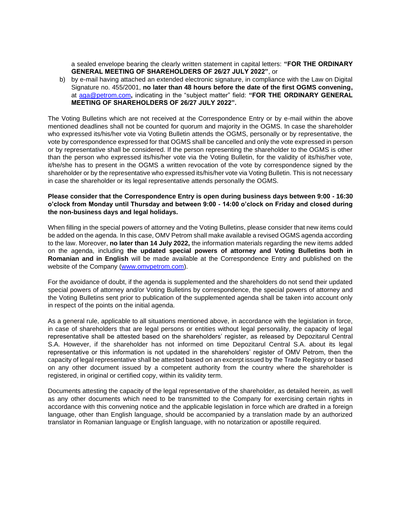a sealed envelope bearing the clearly written statement in capital letters: **"FOR THE ORDINARY GENERAL MEETING OF SHAREHOLDERS OF 26/27 JULY 2022"**, or

b) by e-mail having attached an extended electronic signature, in compliance with the Law on Digital Signature no. 455/2001, **no later than 48 hours before the date of the first OGMS convening,** at [aga@petrom.com](mailto:aga@petrom.com)**,** indicating in the "subject matter" field: **"FOR THE ORDINARY GENERAL MEETING OF SHAREHOLDERS OF 26/27 JULY 2022".**

The Voting Bulletins which are not received at the Correspondence Entry or by e-mail within the above mentioned deadlines shall not be counted for quorum and majority in the OGMS. In case the shareholder who expressed its/his/her vote via Voting Bulletin attends the OGMS, personally or by representative, the vote by correspondence expressed for that OGMS shall be cancelled and only the vote expressed in person or by representative shall be considered. If the person representing the shareholder to the OGMS is other than the person who expressed its/his/her vote via the Voting Bulletin, for the validity of its/his/her vote, it/he/she has to present in the OGMS a written revocation of the vote by correspondence signed by the shareholder or by the representative who expressed its/his/her vote via Voting Bulletin. This is not necessary in case the shareholder or its legal representative attends personally the OGMS.

## **Please consider that the Correspondence Entry is open during business days between 9:00 - 16:30 o'clock from Monday until Thursday and between 9:00 - 14:00 o'clock on Friday and closed during the non-business days and legal holidays.**

When filling in the special powers of attorney and the Voting Bulletins, please consider that new items could be added on the agenda. In this case, OMV Petrom shall make available a revised OGMS agenda according to the law. Moreover, **no later than 14 July 2022,** the information materials regarding the new items added on the agenda, including **the updated special powers of attorney and Voting Bulletins both in Romanian and in English** will be made available at the Correspondence Entry and published on the website of the Company [\(www.omvpetrom.com\)](http://www.omvpetrom.com/).

For the avoidance of doubt, if the agenda is supplemented and the shareholders do not send their updated special powers of attorney and/or Voting Bulletins by correspondence, the special powers of attorney and the Voting Bulletins sent prior to publication of the supplemented agenda shall be taken into account only in respect of the points on the initial agenda.

As a general rule, applicable to all situations mentioned above, in accordance with the legislation in force, in case of shareholders that are legal persons or entities without legal personality, the capacity of legal representative shall be attested based on the shareholders' register, as released by Depozitarul Central S.A. However, if the shareholder has not informed on time Depozitarul Central S.A. about its legal representative or this information is not updated in the shareholders' register of OMV Petrom, then the capacity of legal representative shall be attested based on an excerpt issued by the Trade Registry or based on any other document issued by a competent authority from the country where the shareholder is registered, in original or certified copy, within its validity term.

Documents attesting the capacity of the legal representative of the shareholder, as detailed herein, as well as any other documents which need to be transmitted to the Company for exercising certain rights in accordance with this convening notice and the applicable legislation in force which are drafted in a foreign language, other than English language, should be accompanied by a translation made by an authorized translator in Romanian language or English language, with no notarization or apostille required.